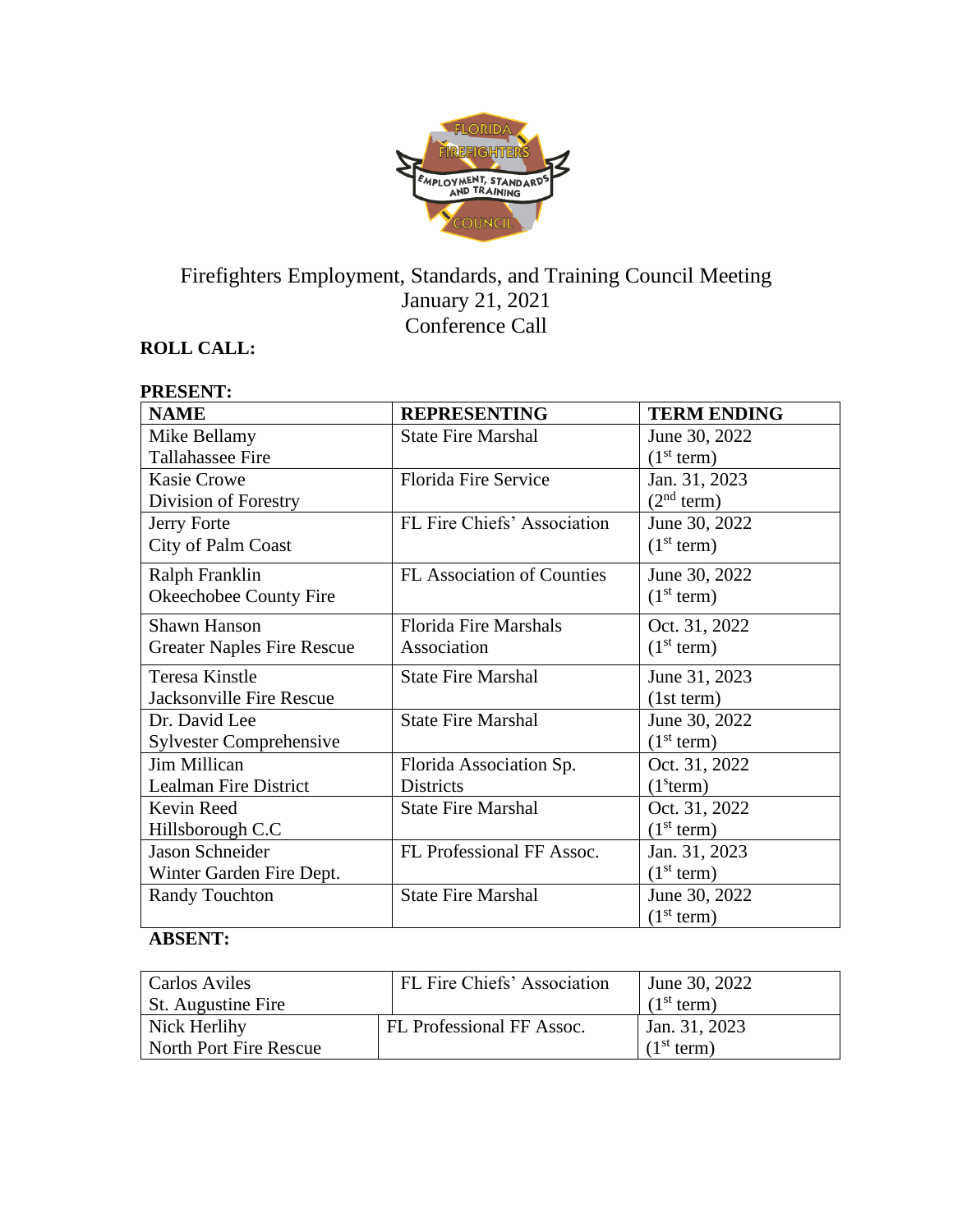

# Firefighters Employment, Standards, and Training Council Meeting January 21, 2021 Conference Call

# **ROLL CALL:**

#### **PRESENT: NAME REPRESENTING TERM ENDING** Mike Bellamy Tallahassee Fire State Fire Marshal June 30, 2022  $(1<sup>st</sup> term)$ Kasie Crowe Division of Forestry Florida Fire Service Jan. 31, 2023  $(2<sup>nd</sup> term)$ Jerry Forte City of Palm Coast FL Fire Chiefs' Association June 30, 2022  $(1<sup>st</sup> term)$ Ralph Franklin Okeechobee County Fire FL Association of Counties June 30, 2022  $(1<sup>st</sup> term)$ Shawn Hanson Greater Naples Fire Rescue Florida Fire Marshals Association Oct. 31, 2022  $(1<sup>st</sup> term)$ Teresa Kinstle Jacksonville Fire Rescue State Fire Marshal June 31, 2023 (1st term) Dr. David Lee Sylvester Comprehensive State Fire Marshal June 30, 2022  $(1<sup>st</sup> term)$ Jim Millican Lealman Fire District Florida Association Sp. Districts Oct. 31, 2022  $(1<sup>s</sup>term)$ Kevin Reed Hillsborough C.C State Fire Marshal **Oct.** 31, 2022  $(1<sup>st</sup> term)$ Jason Schneider Winter Garden Fire Dept. FL Professional FF Assoc.  $\vert$  Jan. 31, 2023  $(1<sup>st</sup> term)$ Randy Touchton State Fire Marshal June 30, 2022  $(1<sup>st</sup> term)$

### **ABSENT:**

| <b>Carlos Aviles</b>   | FL Fire Chiefs' Association | June 30, 2022          |
|------------------------|-----------------------------|------------------------|
| St. Augustine Fire     |                             | (1 <sup>st</sup> term) |
| Nick Herlihy           | FL Professional FF Assoc.   | Jan. 31, 2023          |
| North Port Fire Rescue |                             | (1 <sup>st</sup> term) |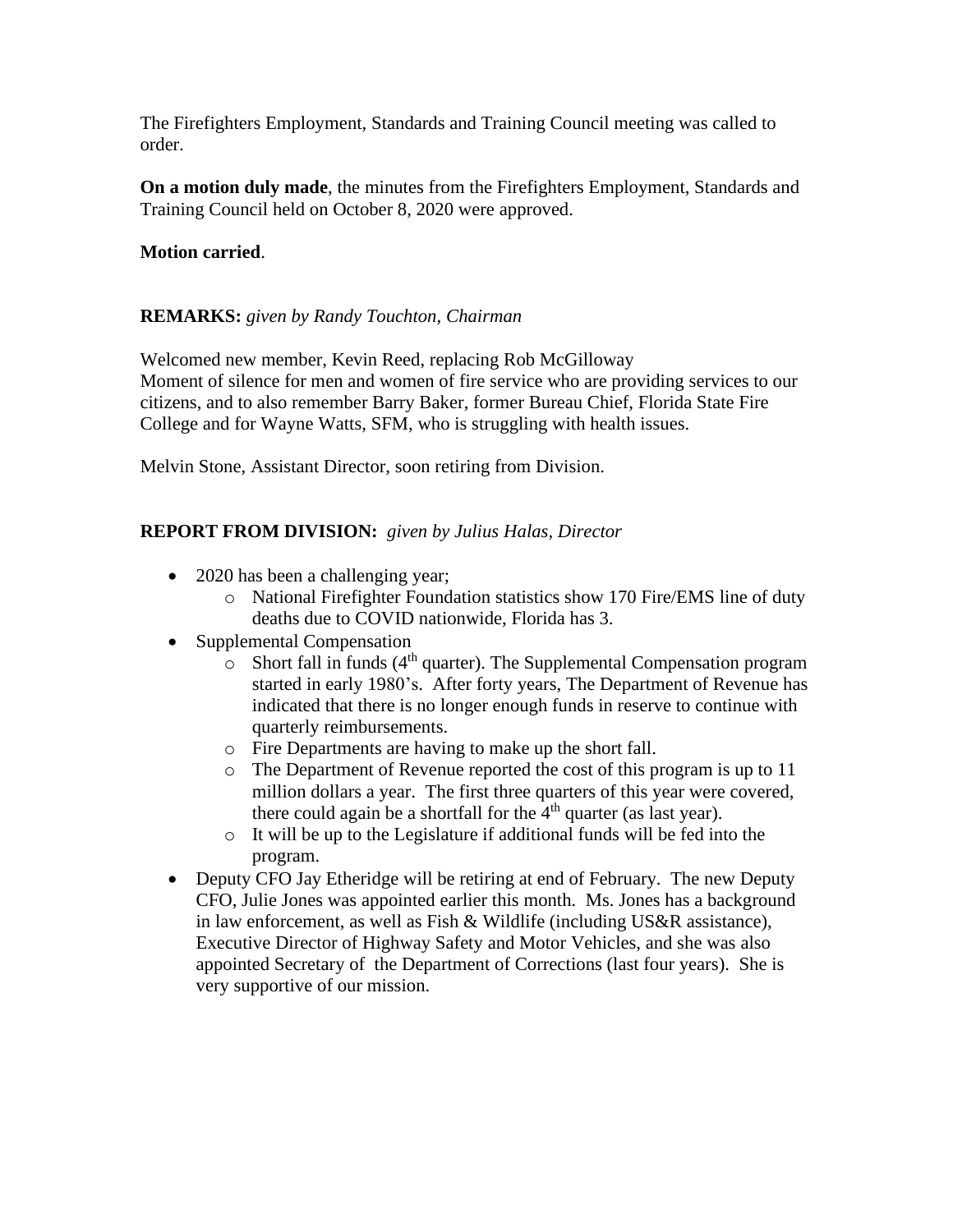The Firefighters Employment, Standards and Training Council meeting was called to order.

**On a motion duly made**, the minutes from the Firefighters Employment, Standards and Training Council held on October 8, 2020 were approved.

# **Motion carried**.

# **REMARKS:** *given by Randy Touchton, Chairman*

Welcomed new member, Kevin Reed, replacing Rob McGilloway Moment of silence for men and women of fire service who are providing services to our citizens, and to also remember Barry Baker, former Bureau Chief, Florida State Fire College and for Wayne Watts, SFM, who is struggling with health issues.

Melvin Stone, Assistant Director, soon retiring from Division.

# **REPORT FROM DIVISION:** *given by Julius Halas, Director*

- 2020 has been a challenging year;
	- o National Firefighter Foundation statistics show 170 Fire/EMS line of duty deaths due to COVID nationwide, Florida has 3.
- Supplemental Compensation
	- $\circ$  Short fall in funds (4<sup>th</sup> quarter). The Supplemental Compensation program started in early 1980's. After forty years, The Department of Revenue has indicated that there is no longer enough funds in reserve to continue with quarterly reimbursements.
	- o Fire Departments are having to make up the short fall.
	- o The Department of Revenue reported the cost of this program is up to 11 million dollars a year. The first three quarters of this year were covered, there could again be a shortfall for the  $4<sup>th</sup>$  quarter (as last year).
	- o It will be up to the Legislature if additional funds will be fed into the program.
- Deputy CFO Jay Etheridge will be retiring at end of February. The new Deputy CFO, Julie Jones was appointed earlier this month. Ms. Jones has a background in law enforcement, as well as Fish & Wildlife (including US&R assistance), Executive Director of Highway Safety and Motor Vehicles, and she was also appointed Secretary of the Department of Corrections (last four years). She is very supportive of our mission.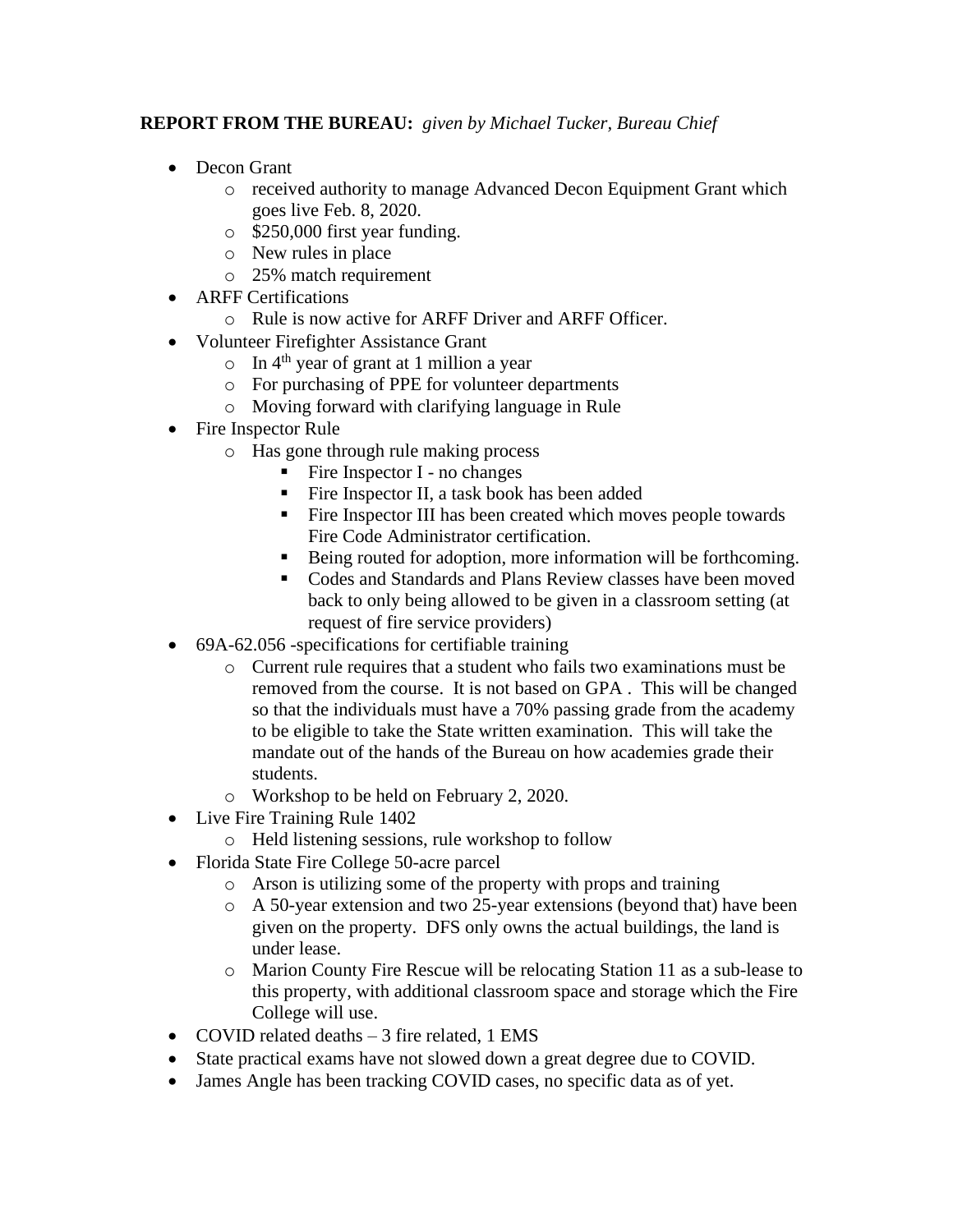# **REPORT FROM THE BUREAU:** *given by Michael Tucker, Bureau Chief*

- Decon Grant
	- o received authority to manage Advanced Decon Equipment Grant which goes live Feb. 8, 2020.
	- o \$250,000 first year funding.
	- o New rules in place
	- o 25% match requirement
	- ARFF Certifications
		- o Rule is now active for ARFF Driver and ARFF Officer.
- Volunteer Firefighter Assistance Grant
	- $\circ$  In 4<sup>th</sup> year of grant at 1 million a year
	- o For purchasing of PPE for volunteer departments
	- o Moving forward with clarifying language in Rule
- Fire Inspector Rule
	- o Has gone through rule making process
		- Fire Inspector  $I$  no changes
		- Fire Inspector II, a task book has been added
		- Fire Inspector III has been created which moves people towards Fire Code Administrator certification.
		- Being routed for adoption, more information will be forthcoming.
		- Codes and Standards and Plans Review classes have been moved back to only being allowed to be given in a classroom setting (at request of fire service providers)
- 69A-62.056 -specifications for certifiable training
	- o Current rule requires that a student who fails two examinations must be removed from the course. It is not based on GPA . This will be changed so that the individuals must have a 70% passing grade from the academy to be eligible to take the State written examination. This will take the mandate out of the hands of the Bureau on how academies grade their students.
	- o Workshop to be held on February 2, 2020.
- Live Fire Training Rule 1402
	- o Held listening sessions, rule workshop to follow
- Florida State Fire College 50-acre parcel
	- o Arson is utilizing some of the property with props and training
	- o A 50-year extension and two 25-year extensions (beyond that) have been given on the property. DFS only owns the actual buildings, the land is under lease.
	- o Marion County Fire Rescue will be relocating Station 11 as a sub-lease to this property, with additional classroom space and storage which the Fire College will use.
- COVID related deaths 3 fire related, 1 EMS
- State practical exams have not slowed down a great degree due to COVID.
- James Angle has been tracking COVID cases, no specific data as of yet.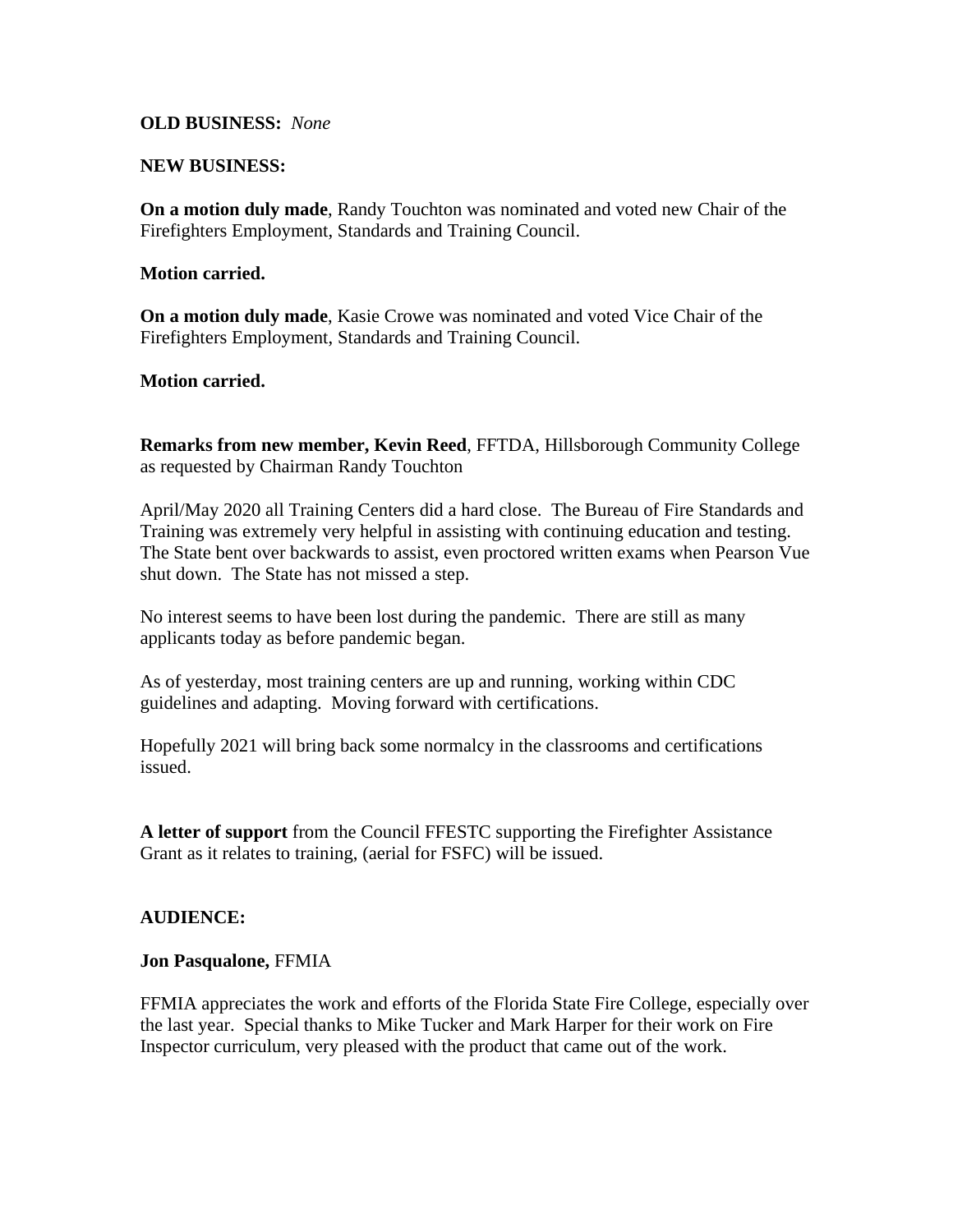#### **OLD BUSINESS:** *None*

#### **NEW BUSINESS:**

**On a motion duly made**, Randy Touchton was nominated and voted new Chair of the Firefighters Employment, Standards and Training Council.

#### **Motion carried.**

**On a motion duly made**, Kasie Crowe was nominated and voted Vice Chair of the Firefighters Employment, Standards and Training Council.

### **Motion carried.**

**Remarks from new member, Kevin Reed**, FFTDA, Hillsborough Community College as requested by Chairman Randy Touchton

April/May 2020 all Training Centers did a hard close. The Bureau of Fire Standards and Training was extremely very helpful in assisting with continuing education and testing. The State bent over backwards to assist, even proctored written exams when Pearson Vue shut down. The State has not missed a step.

No interest seems to have been lost during the pandemic. There are still as many applicants today as before pandemic began.

As of yesterday, most training centers are up and running, working within CDC guidelines and adapting. Moving forward with certifications.

Hopefully 2021 will bring back some normalcy in the classrooms and certifications issued.

**A letter of support** from the Council FFESTC supporting the Firefighter Assistance Grant as it relates to training, (aerial for FSFC) will be issued.

### **AUDIENCE:**

#### **Jon Pasqualone,** FFMIA

FFMIA appreciates the work and efforts of the Florida State Fire College, especially over the last year. Special thanks to Mike Tucker and Mark Harper for their work on Fire Inspector curriculum, very pleased with the product that came out of the work.